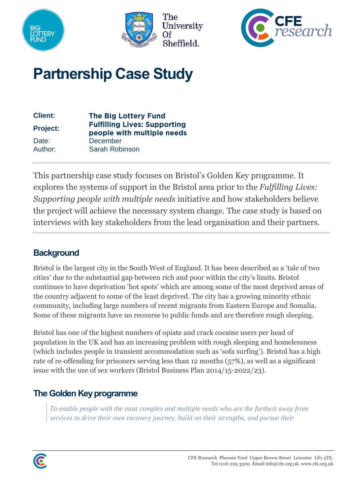





# **Partnership Case Study**

| <b>Client:</b>  | <b>The Big Lottery Fund</b>                                       |
|-----------------|-------------------------------------------------------------------|
| <b>Project:</b> | <b>Fulfilling Lives: Supporting</b><br>people with multiple needs |
| Date:           | <b>December</b>                                                   |
| Author:         | Sarah Robinson                                                    |

This partnership case study focuses on Bristol's Golden Key programme. It explores the systems of support in the Bristol area prior to the *Fulfilling Lives: Supporting people with multiple needs* initiative and how stakeholders believe the project will achieve the necessary system change. The case study is based on interviews with key stakeholders from the lead organisation and their partners*.*

### **Background**

Bristol is the largest city in the South West of England. It has been described as a 'tale of two cities' due to the substantial gap between rich and poor within the city's limits. Bristol continues to have deprivation 'hot spots' which are among some of the most deprived areas of the country adjacent to some of the least deprived. The city has a growing minority ethnic community, including large numbers of recent migrants from Eastern Europe and Somalia. Some of these migrants have no recourse to public funds and are therefore rough sleeping.

Bristol has one of the highest numbers of opiate and crack cocaine users per head of population in the UK and has an increasing problem with rough sleeping and homelessness (which includes people in transient accommodation such as 'sofa surfing'). Bristol has a high rate of re-offending for prisoners serving less than 12 months (57%), as well as a significant issue with the use of sex workers (Bristol Business Plan 2014/15-2022/23).

## **The Golden Key programme**

*To enable people with the most complex and multiple needs who are the furthest away from services to drive their own recovery journey, build on their strengths, and pursue their* 

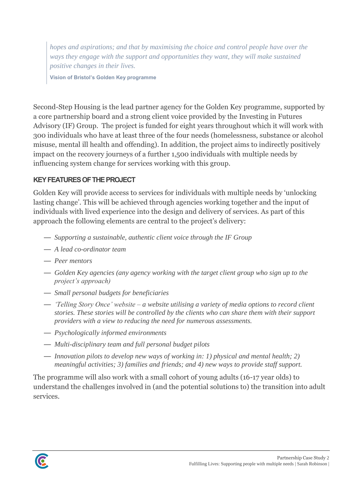*hopes and aspirations; and that by maximising the choice and control people have over the ways they engage with the support and opportunities they want, they will make sustained positive changes in their lives.*

**Vision of Bristol's Golden Key programme**

Second-Step Housing is the lead partner agency for the Golden Key programme, supported by a core partnership board and a strong client voice provided by the Investing in Futures Advisory (IF) Group. The project is funded for eight years throughout which it will work with 300 individuals who have at least three of the four needs (homelessness, substance or alcohol misuse, mental ill health and offending). In addition, the project aims to indirectly positively impact on the recovery journeys of a further 1,500 individuals with multiple needs by influencing system change for services working with this group.

#### **KEY FEATURES OF THE PROJECT**

Golden Key will provide access to services for individuals with multiple needs by 'unlocking lasting change'. This will be achieved through agencies working together and the input of individuals with lived experience into the design and delivery of services. As part of this approach the following elements are central to the project's delivery:

- *Supporting a sustainable, authentic client voice through the IF Group*
- *A lead co-ordinator team*
- *Peer mentors*
- *Golden Key agencies (any agency working with the target client group who sign up to the project's approach)*
- *Small personal budgets for beneficiaries*
- *'Telling Story Once' website – a website utilising a variety of media options to record client stories. These stories will be controlled by the clients who can share them with their support providers with a view to reducing the need for numerous assessments.*
- *Psychologically informed environments*
- *Multi-disciplinary team and full personal budget pilots*
- *Innovation pilots to develop new ways of working in: 1) physical and mental health; 2) meaningful activities; 3) families and friends; and 4) new ways to provide staff support.*

The programme will also work with a small cohort of young adults (16-17 year olds) to understand the challenges involved in (and the potential solutions to) the transition into adult services.

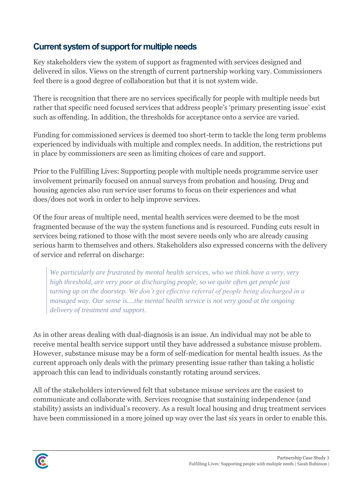## **Current system of support for multiple needs**

Key stakeholders view the system of support as fragmented with services designed and delivered in silos. Views on the strength of current partnership working vary. Commissioners feel there is a good degree of collaboration but that it is not system wide.

There is recognition that there are no services specifically for people with multiple needs but rather that specific need focused services that address people's 'primary presenting issue' exist such as offending. In addition, the thresholds for acceptance onto a service are varied.

Funding for commissioned services is deemed too short-term to tackle the long term problems experienced by individuals with multiple and complex needs. In addition, the restrictions put in place by commissioners are seen as limiting choices of care and support.

Prior to the Fulfilling Lives: Supporting people with multiple needs programme service user involvement primarily focused on annual surveys from probation and housing. Drug and housing agencies also run service user forums to focus on their experiences and what does/does not work in order to help improve services.

Of the four areas of multiple need, mental health services were deemed to be the most fragmented because of the way the system functions and is resourced. Funding cuts result in services being rationed to those with the most severe needs only who are already causing serious harm to themselves and others. Stakeholders also expressed concerns with the delivery of service and referral on discharge:

*We particularly are frustrated by mental health services, who we think have a very, very high threshold, are very poor at discharging people, so we quite often get people just turning up on the doorstep. We don't get effective referral of people being discharged in a managed way. Our sense is....the mental health service is not very good at the ongoing delivery of treatment and support.*

As in other areas dealing with dual-diagnosis is an issue. An individual may not be able to receive mental health service support until they have addressed a substance misuse problem. However, substance misuse may be a form of self-medication for mental health issues. As the current approach only deals with the primary presenting issue rather than taking a holistic approach this can lead to individuals constantly rotating around services.

All of the stakeholders interviewed felt that substance misuse services are the easiest to communicate and collaborate with. Services recognise that sustaining independence (and stability) assists an individual's recovery. As a result local housing and drug treatment services have been commissioned in a more joined up way over the last six years in order to enable this.

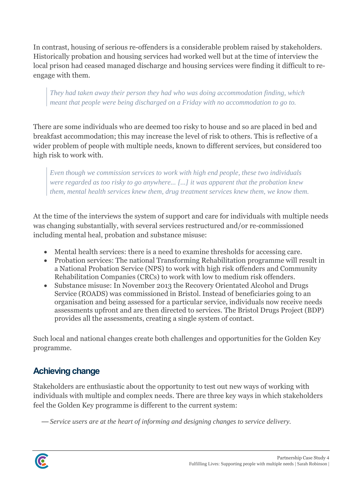In contrast, housing of serious re-offenders is a considerable problem raised by stakeholders. Historically probation and housing services had worked well but at the time of interview the local prison had ceased managed discharge and housing services were finding it difficult to reengage with them.

*They had taken away their person they had who was doing accommodation finding, which meant that people were being discharged on a Friday with no accommodation to go to.*

There are some individuals who are deemed too risky to house and so are placed in bed and breakfast accommodation; this may increase the level of risk to others. This is reflective of a wider problem of people with multiple needs, known to different services, but considered too high risk to work with.

*Even though we commission services to work with high end people, these two individuals were regarded as too risky to go anywhere... [...] it was apparent that the probation knew them, mental health services knew them, drug treatment services knew them, we know them.* 

At the time of the interviews the system of support and care for individuals with multiple needs was changing substantially, with several services restructured and/or re-commissioned including mental heal, probation and substance misuse:

- Mental health services: there is a need to examine thresholds for accessing care.
- Probation services: The national Transforming Rehabilitation programme will result in a National Probation Service (NPS) to work with high risk offenders and Community Rehabilitation Companies (CRCs) to work with low to medium risk offenders.
- Substance misuse: In November 2013 the Recovery Orientated Alcohol and Drugs Service (ROADS) was commissioned in Bristol. Instead of beneficiaries going to an organisation and being assessed for a particular service, individuals now receive needs assessments upfront and are then directed to services. The Bristol Drugs Project (BDP) provides all the assessments, creating a single system of contact.

Such local and national changes create both challenges and opportunities for the Golden Key programme.

# **Achieving change**

Stakeholders are enthusiastic about the opportunity to test out new ways of working with individuals with multiple and complex needs. There are three key ways in which stakeholders feel the Golden Key programme is different to the current system:

— *Service users are at the heart of informing and designing changes to service delivery.*

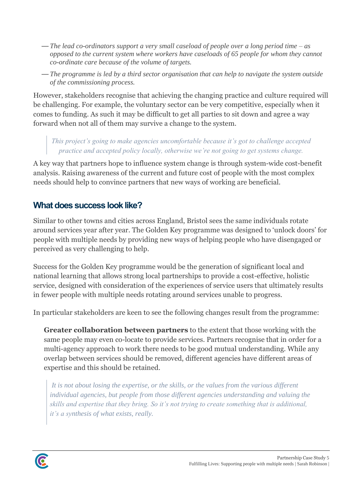- *The lead co-ordinators support a very small caseload of people over a long period time – as opposed to the current system where workers have caseloads of 65 people for whom they cannot co-ordinate care because of the volume of targets.*
- *The programme is led by a third sector organisation that can help to navigate the system outside of the commissioning process.*

However, stakeholders recognise that achieving the changing practice and culture required will be challenging. For example, the voluntary sector can be very competitive, especially when it comes to funding. As such it may be difficult to get all parties to sit down and agree a way forward when not all of them may survive a change to the system.

*This project's going to make agencies uncomfortable because it's got to challenge accepted practice and accepted policy locally, otherwise we're not going to get systems change.*

A key way that partners hope to influence system change is through system-wide cost-benefit analysis. Raising awareness of the current and future cost of people with the most complex needs should help to convince partners that new ways of working are beneficial.

#### **What does success look like?**

Similar to other towns and cities across England, Bristol sees the same individuals rotate around services year after year. The Golden Key programme was designed to 'unlock doors' for people with multiple needs by providing new ways of helping people who have disengaged or perceived as very challenging to help.

Success for the Golden Key programme would be the generation of significant local and national learning that allows strong local partnerships to provide a cost-effective, holistic service, designed with consideration of the experiences of service users that ultimately results in fewer people with multiple needs rotating around services unable to progress.

In particular stakeholders are keen to see the following changes result from the programme:

**Greater collaboration between partners** to the extent that those working with the same people may even co-locate to provide services. Partners recognise that in order for a multi-agency approach to work there needs to be good mutual understanding. While any overlap between services should be removed, different agencies have different areas of expertise and this should be retained.

*It is not about losing the expertise, or the skills, or the values from the various different individual agencies, but people from those different agencies understanding and valuing the skills and expertise that they bring. So it's not trying to create something that is additional, it's a synthesis of what exists, really.*